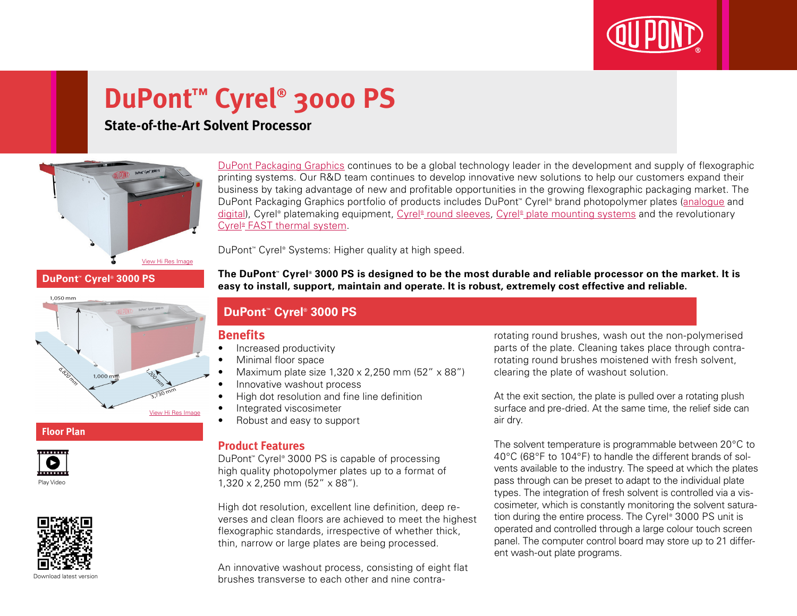

# **DuPont™ Cyrel® 3000 PS**

## **State-of-the-Art Solvent Processor**



**DuPont™ Cyrel® 3000 PS**

 $1,000 \text{ mm}$ 

[DuPont Packaging Graphics](http://www2.dupont.com/Packaging_Graphics/en_GB/index.html) continues to be a global technology leader in the development and supply of flexographic printing systems. Our R&D team continues to develop innovative new solutions to help our customers expand their business by taking advantage of new and profitable opportunities in the growing flexographic packaging market. The DuPont Packaging Graphics portfolio of products includes DuPont™ Cyrel® brand photopolymer plates ([analogue](http://www2.dupont.com/Packaging_Graphics/en_GB/products/solvent_platemaking/index.html) and [digital\)](http://www2.dupont.com/Packaging_Graphics/en_GB/products/digital_wkflow/digital_workflow.html), Cyrel® platemaking equipment, Cyrel® [round sleeves](http://www2.dupont.com/Packaging_Graphics/en_GB/products/cyrel_round/index_cyrelround2.html), Cyrel® [plate mounting systems](http://www2.dupont.com/Packaging_Graphics/en_GB/products/mounting_systems/index.html) and the revolutionary Cyrel<sup>®</sup> [FAST thermal system.](http://www2.dupont.com/Packaging_Graphics/en_GB/products/cyrel_fast/cyrelfast_index.html)

DuPont™ Cyrel® Systems: Higher quality at high speed.

**The DuPont™ Cyrel® 3000 PS is designed to be the most durable and reliable processor on the market. It is easy to install, support, maintain and operate. It is robust, extremely cost effective and reliable.**

### **DuPont™ Cyrel® 3000 PS**

#### **Benefits**

View Hi Res Ima

- Increased productivity
- Minimal floor space
- Maximum plate size  $1,320 \times 2,250$  mm  $(52'' \times 88'')$
- Innovative washout process
- High dot resolution and fine line definition
- Integrated viscosimeter
- • Robust and easy to support

#### **Product Features**

DuPont™ Cyrel® 3000 PS is capable of processing high quality photopolymer plates up to a format of 1,320 x 2,250 mm (52" x 88").

High dot resolution, excellent line definition, deep reverses and clean floors are achieved to meet the highest flexographic standards, irrespective of whether thick, thin, narrow or large plates are being processed.

An innovative washout process, consisting of eight flat brushes transverse to each other and nine contrarotating round brushes, wash out the non-polymerised parts of the plate. Cleaning takes place through contrarotating round brushes moistened with fresh solvent, clearing the plate of washout solution.

At the exit section, the plate is pulled over a rotating plush surface and pre-dried. At the same time, the relief side can air dry.

The solvent temperature is programmable between 20°C to 40°C (68°F to 104°F) to handle the different brands of solvents available to the industry. The speed at which the plates pass through can be preset to adapt to the individual plate types. The integration of fresh solvent is controlled via a viscosimeter, which is constantly monitoring the solvent saturation during the entire process. The Cyrel® 3000 PS unit is operated and controlled through a large colour touch screen panel. The computer control board may store up to 21 different wash-out plate programs.

# **Floor Plan**

1.050 mm





Download latest versio